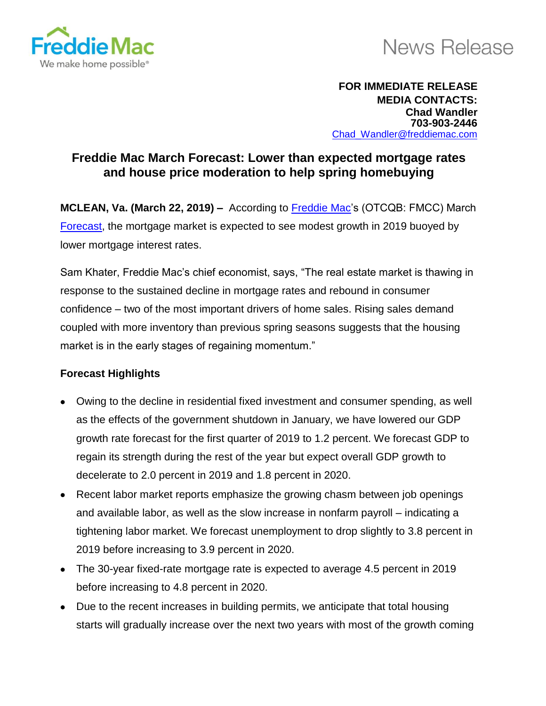

## **News Release**

## **FOR IMMEDIATE RELEASE MEDIA CONTACTS: Chad Wandler 703-903-2446** Chad\_Wandler@freddiemac.com

## **Freddie Mac March Forecast: Lower than expected mortgage rates and house price moderation to help spring homebuying**

**MCLEAN, Va. (March 22, 2019) –** According to [Freddie Mac'](http://www.freddiemac.com/)s (OTCQB: FMCC) March [Forecast,](http://www.freddiemac.com/research/forecast/) the mortgage market is expected to see modest growth in 2019 buoyed by lower mortgage interest rates.

Sam Khater, Freddie Mac's chief economist, says, "The real estate market is thawing in response to the sustained decline in mortgage rates and rebound in consumer confidence – two of the most important drivers of home sales. Rising sales demand coupled with more inventory than previous spring seasons suggests that the housing market is in the early stages of regaining momentum."

## **Forecast Highlights**

- Owing to the decline in residential fixed investment and consumer spending, as well as the effects of the government shutdown in January, we have lowered our GDP growth rate forecast for the first quarter of 2019 to 1.2 percent. We forecast GDP to regain its strength during the rest of the year but expect overall GDP growth to decelerate to 2.0 percent in 2019 and 1.8 percent in 2020.
- Recent labor market reports emphasize the growing chasm between job openings and available labor, as well as the slow increase in nonfarm payroll – indicating a tightening labor market. We forecast unemployment to drop slightly to 3.8 percent in 2019 before increasing to 3.9 percent in 2020.
- The 30-year fixed-rate mortgage rate is expected to average 4.5 percent in 2019 before increasing to 4.8 percent in 2020.
- Due to the recent increases in building permits, we anticipate that total housing starts will gradually increase over the next two years with most of the growth coming